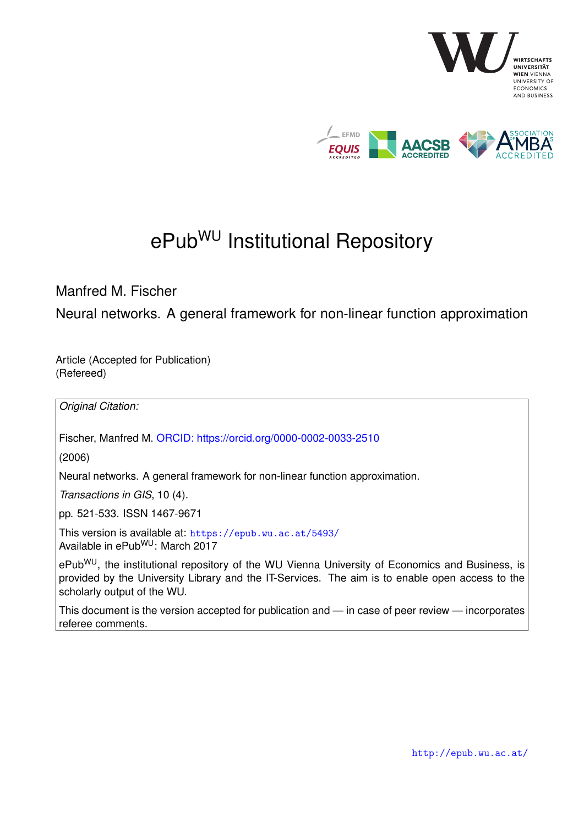

# ePub<sup>WU</sup> Institutional Repository

Manfred M. Fischer

Neural networks. A general framework for non-linear function approximation

Article (Accepted for Publication) (Refereed)

*Original Citation:*

Fischer, Manfred M. [ORCID: https://orcid.org/0000-0002-0033-2510](https://orcid.org/0000-0002-0033-2510)

(2006)

Neural networks. A general framework for non-linear function approximation.

*Transactions in GIS*, 10 (4).

pp. 521-533. ISSN 1467-9671

This version is available at: <https://epub.wu.ac.at/5493/> Available in ePubWU: March 2017

ePub<sup>WU</sup>, the institutional repository of the WU Vienna University of Economics and Business, is provided by the University Library and the IT-Services. The aim is to enable open access to the scholarly output of the WU.

This document is the version accepted for publication and — in case of peer review — incorporates referee comments.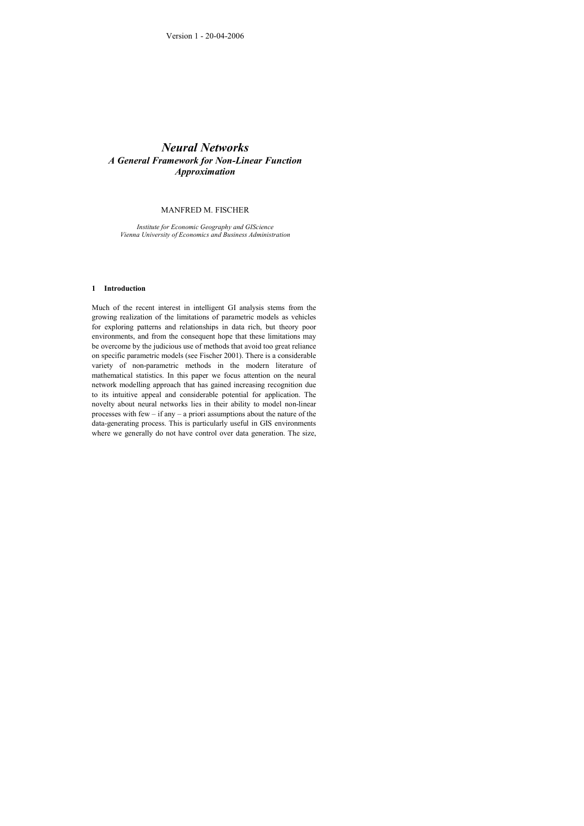## *Neural Networks A General Framework for Non-Linear Function Approximation*

### MANFRED M. FISCHER

*Institute for Economic Geography and GIScience Vienna University of Economics and Business Administration* 

### **1 Introduction**

Much of the recent interest in intelligent GI analysis stems from the growing realization of the limitations of parametric models as vehicles for exploring patterns and relationships in data rich, but theory poor environments, and from the consequent hope that these limitations may be overcome by the judicious use of methods that avoid too great reliance on specific parametric models (see Fischer 2001). There is a considerable variety of non-parametric methods in the modern literature of mathematical statistics. In this paper we focus attention on the neural network modelling approach that has gained increasing recognition due to its intuitive appeal and considerable potential for application. The novelty about neural networks lies in their ability to model non-linear processes with few – if any – a priori assumptions about the nature of the data-generating process. This is particularly useful in GIS environments where we generally do not have control over data generation. The size,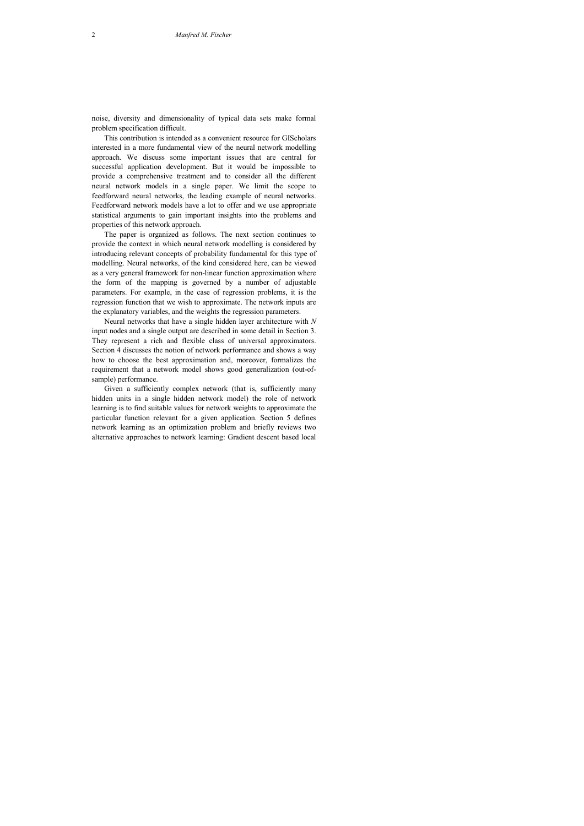noise, diversity and dimensionality of typical data sets make formal problem specification difficult.

This contribution is intended as a convenient resource for GIScholars interested in a more fundamental view of the neural network modelling approach. We discuss some important issues that are central for successful application development. But it would be impossible to provide a comprehensive treatment and to consider all the different neural network models in a single paper. We limit the scope to feedforward neural networks, the leading example of neural networks. Feedforward network models have a lot to offer and we use appropriate statistical arguments to gain important insights into the problems and properties of this network approach.

The paper is organized as follows. The next section continues to provide the context in which neural network modelling is considered by introducing relevant concepts of probability fundamental for this type of modelling. Neural networks, of the kind considered here, can be viewed as a very general framework for non-linear function approximation where the form of the mapping is governed by a number of adjustable parameters. For example, in the case of regression problems, it is the regression function that we wish to approximate. The network inputs are the explanatory variables, and the weights the regression parameters.

Neural networks that have a single hidden layer architecture with *N* input nodes and a single output are described in some detail in Section 3. They represent a rich and flexible class of universal approximators. Section 4 discusses the notion of network performance and shows a way how to choose the best approximation and, moreover, formalizes the requirement that a network model shows good generalization (out-ofsample) performance.

Given a sufficiently complex network (that is, sufficiently many hidden units in a single hidden network model) the role of network learning is to find suitable values for network weights to approximate the particular function relevant for a given application. Section 5 defines network learning as an optimization problem and briefly reviews two alternative approaches to network learning: Gradient descent based local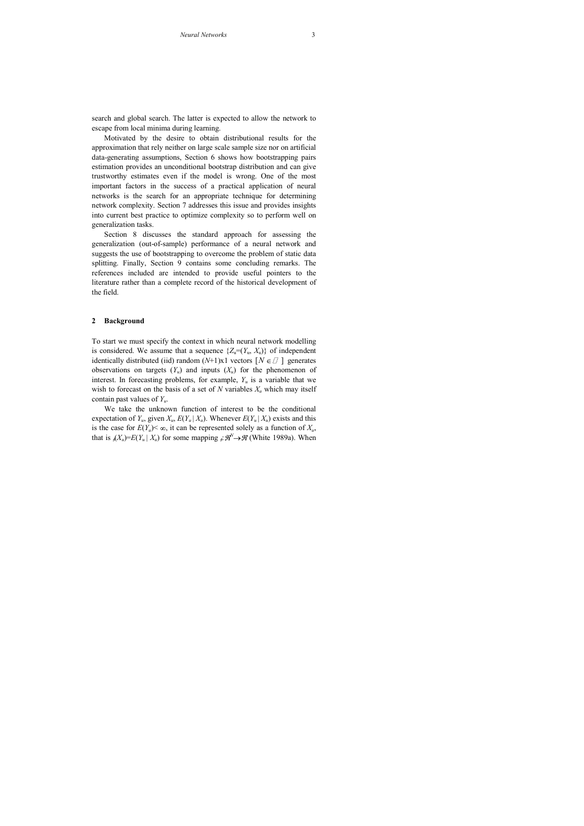search and global search. The latter is expected to allow the network to escape from local minima during learning.

Motivated by the desire to obtain distributional results for the approximation that rely neither on large scale sample size nor on artificial data-generating assumptions, Section 6 shows how bootstrapping pairs estimation provides an unconditional bootstrap distribution and can give trustworthy estimates even if the model is wrong. One of the most important factors in the success of a practical application of neural networks is the search for an appropriate technique for determining network complexity. Section 7 addresses this issue and provides insights into current best practice to optimize complexity so to perform well on generalization tasks.

Section 8 discusses the standard approach for assessing the generalization (out-of-sample) performance of a neural network and suggests the use of bootstrapping to overcome the problem of static data splitting. Finally, Section 9 contains some concluding remarks. The references included are intended to provide useful pointers to the literature rather than a complete record of the historical development of the field.

### **2 Background**

To start we must specify the context in which neural network modelling is considered. We assume that a sequence  $\{Z_u = (Y_u, X_u)\}\$  of independent identically distributed (iid) random  $(N+1)x1$  vectors  $[N \in \mathcal{I}]$  generates observations on targets  $(Y_u)$  and inputs  $(X_u)$  for the phenomenon of interest. In forecasting problems, for example,  $Y_u$  is a variable that we wish to forecast on the basis of a set of  $N$  variables  $X_u$  which may itself contain past values of *Yu*.

We take the unknown function of interest to be the conditional expectation of  $Y_u$ , given  $X_u$ ,  $E(Y_u | X_u)$ . Whenever  $E(Y_u | X_u)$  exists and this is the case for  $E(Y_u) < \infty$ , it can be represented solely as a function of  $X_u$ , that is  $(X_u)=E(Y_u \mid X_u)$  for some mapping  $\lim_{h \to 0} \mathcal{R}^N \to \mathcal{R}$  (White 1989a). When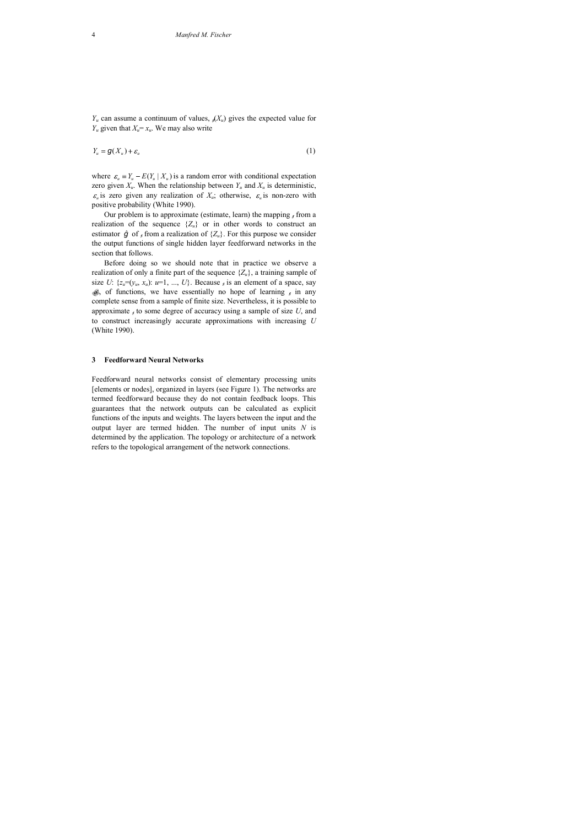$Y_u$  can assume a continuum of values,  $\mathcal{A}(X_u)$  gives the expected value for  $Y_u$  given that  $X_u = x_u$ . We may also write

$$
Y_u = \mathbf{g}(X_u) + \varepsilon_u \tag{1}
$$

where  $\varepsilon_n \equiv Y_n - E(Y_n | X_n)$  is a random error with conditional expectation zero given  $X_u$ . When the relationship between  $Y_u$  and  $X_u$  is deterministic,  $\varepsilon_u$  is zero given any realization of  $X_u$ ; otherwise,  $\varepsilon_u$  is non-zero with positive probability (White 1990).

Our problem is to approximate (estimate, learn) the mapping  $<sub>s</sub>$  from a</sub> realization of the sequence  ${Z_u}$  or in other words to construct an estimator  $\hat{g}$  of  $\int$  from a realization of  $\{Z_u\}$ . For this purpose we consider the output functions of single hidden layer feedforward networks in the section that follows.

Before doing so we should note that in practice we observe a realization of only a finite part of the sequence  $\{Z_u\}$ , a training sample of size *U*:  $\{z_u = (y_u, x_u): u=1, ..., U\}$ . Because  $\int$  is an element of a space, say  $\mathscr{F}_1$ , of functions, we have essentially no hope of learning  $\mathscr{F}_1$  in any complete sense from a sample of finite size. Nevertheless, it is possible to approximate  $\sqrt{s}$  to some degree of accuracy using a sample of size  $U$ , and to construct increasingly accurate approximations with increasing *U* (White 1990).

### **3 Feedforward Neural Networks**

Feedforward neural networks consist of elementary processing units [elements or nodes], organized in layers (see Figure 1). The networks are termed feedforward because they do not contain feedback loops. This guarantees that the network outputs can be calculated as explicit functions of the inputs and weights. The layers between the input and the output layer are termed hidden. The number of input units *N* is determined by the application. The topology or architecture of a network refers to the topological arrangement of the network connections.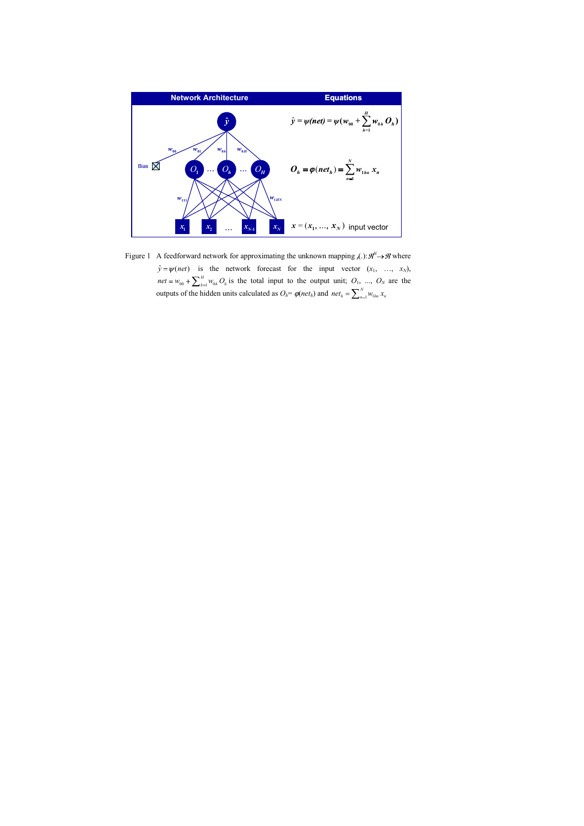

Figure 1 A feedforward network for approximating the unknown mapping  $\mathcal{A}$ .):  $\mathcal{R}^N \rightarrow \mathcal{R}$  where  $\hat{y} = \psi(net)$  is the network forecast for the input vector  $(x_1, ..., x_N)$ ,  $net = w_{00} + \sum_{h=1}^{H} w_{0h} O_h$  is the total input to the output unit;  $O_1$ , ...,  $O_N$  are the outputs of the hidden units calculated as  $O_h = \varphi(net_h)$  and  $net_h = \sum_{n=1}^{N} w_{hm} x_n$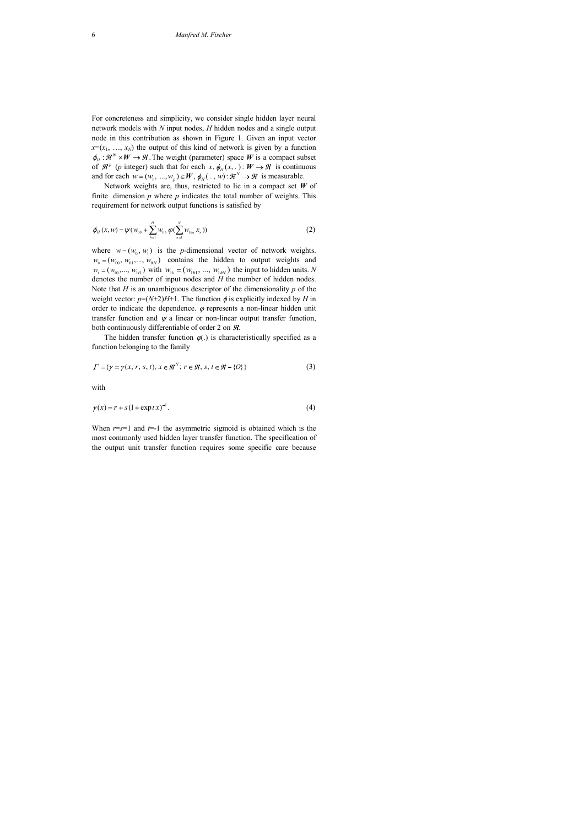For concreteness and simplicity, we consider single hidden layer neural network models with *N* input nodes, *H* hidden nodes and a single output node in this contribution as shown in Figure 1. Given an input vector  $x=(x_1, \ldots, x_N)$  the output of this kind of network is given by a function  $\phi_H : \mathcal{H}^N \times W \to \mathcal{H}$ . The weight (parameter) space W is a compact subset of  $\mathcal{R}^p$  (*p* integer) such that for each  $x, \phi_H(x, .) : W \to \mathcal{R}$  is continuous and for each  $w = (w_1, ..., w_p) \in W$ ,  $\phi_H(. , w) : \mathcal{H}^N \to \mathcal{H}$  is measurable.

Network weights are, thus, restricted to lie in a compact set *W* of finite dimension  $p$  where  $p$  indicates the total number of weights. This requirement for network output functions is satisfied by

$$
\phi_H(x, w) = \psi(w_{00} + \sum_{h=1}^H w_{0h} \, \varphi(\sum_{n=1}^N w_{1hn} \, x_n)) \tag{2}
$$

where  $w = (w_0, w_1)$  is the *p*-dimensional vector of network weights.  $W_0 = (W_{00}, W_{01},..., W_{0H})$  contains the hidden to output weights and  $W_1 = (w_{10}, ..., w_{1H})$  with  $W_{1h} = (w_{1h1}, ..., w_{1hN})$  the input to hidden units. *N* denotes the number of input nodes and *H* the number of hidden nodes. Note that *H* is an unambiguous descriptor of the dimensionality *p* of the weight vector:  $p=(N+2)H+1$ . The function  $\phi$  is explicitly indexed by *H* in order to indicate the dependence.  $\varphi$  represents a non-linear hidden unit transfer function and  $\psi$  a linear or non-linear output transfer function, both continuously differentiable of order 2 on  $\mathcal{R}$ .

The hidden transfer function  $\varphi$ .) is characteristically specified as a function belonging to the family

$$
\Gamma = \{ \gamma = \gamma(x, r, s, t), x \in \mathcal{R}^N; r \in \mathcal{R}, s, t \in \mathcal{R} - \{O\} \}
$$
\n
$$
\tag{3}
$$

with

$$
\gamma(x) = r + s(1 + \exp t x)^{-1}.
$$
 (4)

When  $r = s = 1$  and  $t = -1$  the asymmetric sigmoid is obtained which is the most commonly used hidden layer transfer function. The specification of the output unit transfer function requires some specific care because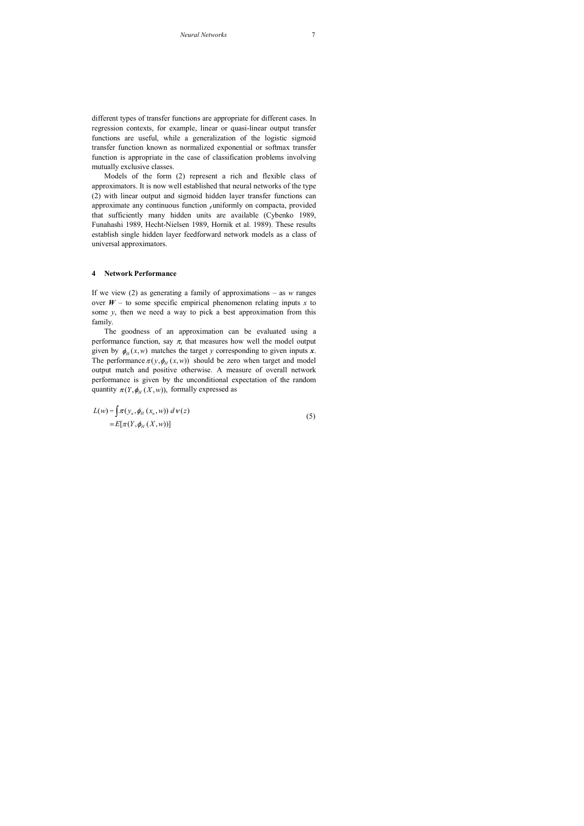different types of transfer functions are appropriate for different cases. In regression contexts, for example, linear or quasi-linear output transfer functions are useful, while a generalization of the logistic sigmoid transfer function known as normalized exponential or softmax transfer function is appropriate in the case of classification problems involving mutually exclusive classes.

Models of the form (2) represent a rich and flexible class of approximators. It is now well established that neural networks of the type (2) with linear output and sigmoid hidden layer transfer functions can approximate any continuous function  $\beta$  uniformly on compacta, provided that sufficiently many hidden units are available (Cybenko 1989, Funahashi 1989, Hecht-Nielsen 1989, Hornik et al. 1989). These results establish single hidden layer feedforward network models as a class of universal approximators.

### **4 Network Performance**

If we view (2) as generating a family of approximations – as  $w$  ranges over  $W -$  to some specific empirical phenomenon relating inputs *x* to some *y*, then we need a way to pick a best approximation from this family.

The goodness of an approximation can be evaluated using a performance function, say  $\pi$ , that measures how well the model output given by  $\phi_H(x, w)$  matches the target *y* corresponding to given inputs *x*. The performance  $\pi(y, \phi_H(x, w))$  should be zero when target and model output match and positive otherwise. A measure of overall network performance is given by the unconditional expectation of the random quantity  $\pi(Y, \phi_H(X, w))$ , formally expressed as

 $L(w) = |\pi(y_u, \phi_H(x_u, w))| d v(z)$  $E[\pi(Y, \phi_H(X, w))]$  $(5)$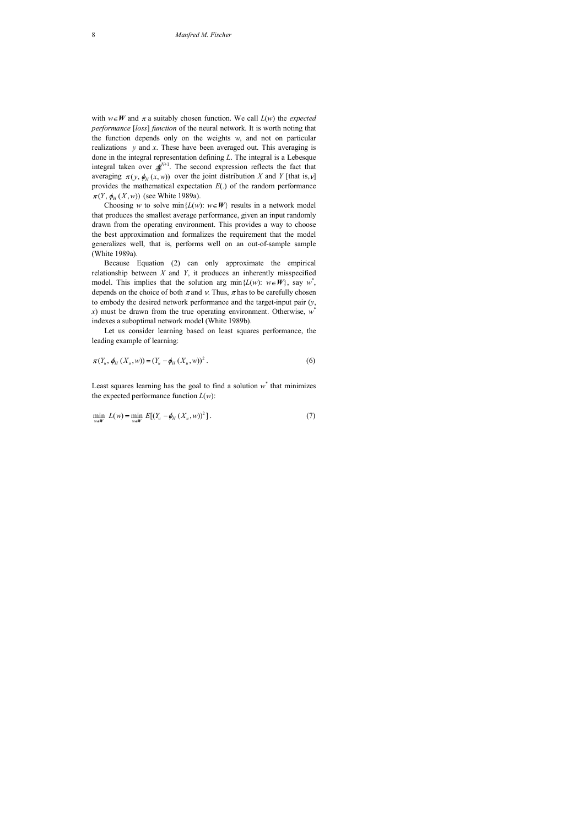with  $w \in W$  and  $\pi$  a suitably chosen function. We call  $L(w)$  the *expected performance* [*loss*] *function* of the neural network. It is worth noting that the function depends only on the weights *w*, and not on particular realizations *y* and *x*. These have been averaged out. This averaging is done in the integral representation defining *L*. The integral is a Lebesque integral taken over  $\mathcal{B}^{N+1}$ . The second expression reflects the fact that averaging  $\pi(y, \phi_H(x, w))$  over the joint distribution *X* and *Y* [that is, v] provides the mathematical expectation *E*(.) of the random performance  $\pi(Y, \phi_H(X, w))$  (see White 1989a).

Choosing *w* to solve  $\min\{L(w): w \in W\}$  results in a network model that produces the smallest average performance, given an input randomly drawn from the operating environment. This provides a way to choose the best approximation and formalizes the requirement that the model generalizes well, that is, performs well on an out-of-sample sample (White 1989a).

Because Equation (2) can only approximate the empirical relationship between *X* and *Y*, it produces an inherently misspecified model. This implies that the solution arg min $\{L(w): w \in W\}$ , say w<sup>\*</sup>, depends on the choice of both  $\pi$  and  $\nu$ . Thus,  $\pi$  has to be carefully chosen to embody the desired network performance and the target-input pair (*y*, *x*) must be drawn from the true operating environment. Otherwise,  $w^*$ indexes a suboptimal network model (White 1989b).

Let us consider learning based on least squares performance, the leading example of learning:

$$
\pi(Y_u, \phi_H(X_u, w)) = (Y_u - \phi_H(X_u, w))^2.
$$
 (6)

Least squares learning has the goal to find a solution *w*\* that minimizes the expected performance function  $L(w)$ :

$$
\min_{w \in W} L(w) = \min_{w \in W} E[(Y_u - \phi_H(X_u, w))^2].
$$
\n(7)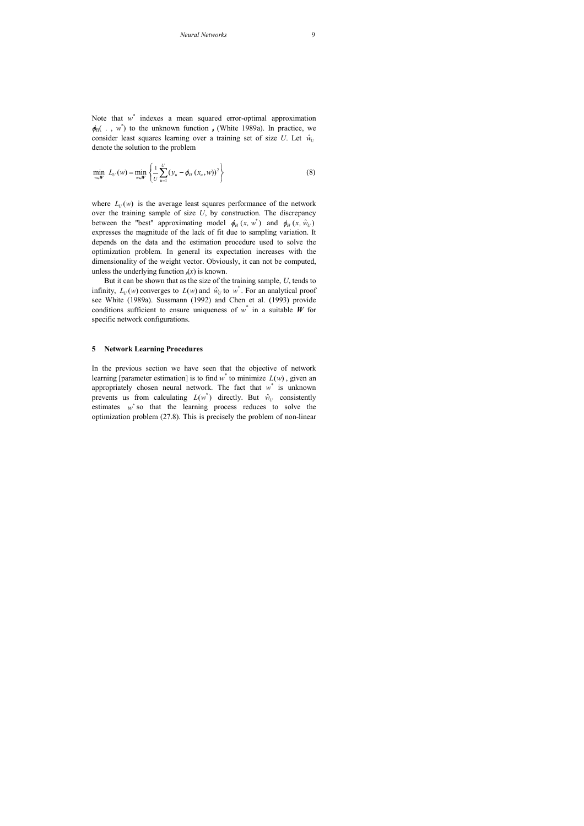Note that *w*\* indexes a mean squared error-optimal approximation  $H_H($ .,  $w^*$ ) to the unknown function  $\beta$  (White 1989a). In practice, we consider least squares learning over a training set of size *U*. Let  $\hat{w}_{U}$ denote the solution to the problem

$$
\min_{w \in W} L_U(w) = \min_{w \in W} \left\{ \frac{1}{U} \sum_{u=1}^U (y_u - \phi_H(x_u, w))^2 \right\}
$$
(8)

where  $L_{U}(w)$  is the average least squares performance of the network over the training sample of size *U*, by construction. The discrepancy between the "best" approximating model  $\phi_H(x, w^*)$  and  $\phi_H(x, \hat{w}_U)$ expresses the magnitude of the lack of fit due to sampling variation. It depends on the data and the estimation procedure used to solve the optimization problem. In general its expectation increases with the dimensionality of the weight vector. Obviously, it can not be computed, unless the underlying function  $\phi(x)$  is known.

But it can be shown that as the size of the training sample, *U*, tends to infinity,  $L_U(w)$  converges to  $L(w)$  and  $\hat{w}_U$  to  $w^*$ . For an analytical proof see White (1989a). Sussmann (1992) and Chen et al. (1993) provide conditions sufficient to ensure uniqueness of  $w^*$  in a suitable *W* for specific network configurations.

### **5 Network Learning Procedures**

In the previous section we have seen that the objective of network learning [parameter estimation] is to find  $w^*$  to minimize  $L(w)$ , given an appropriately chosen neural network. The fact that *w*\* is unknown prevents us from calculating  $L(w^*)$  directly. But  $\hat{w}_U$  consistently estimates *w\** so that the learning process reduces to solve the optimization problem (27.8). This is precisely the problem of non-linear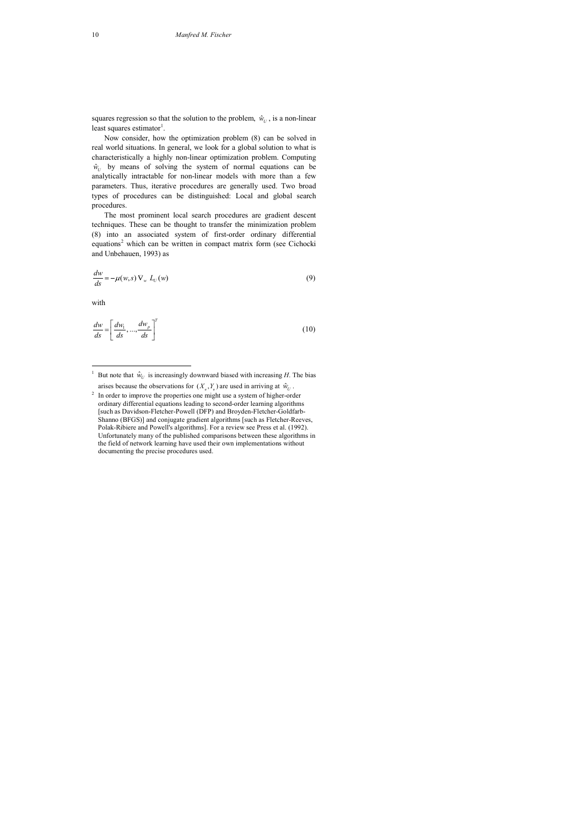squares regression so that the solution to the problem,  $\hat{w}_U$ , is a non-linear least squares estimator<sup>1</sup>.

Now consider, how the optimization problem (8) can be solved in real world situations. In general, we look for a global solution to what is characteristically a highly non-linear optimization problem. Computing  $\hat{w}_{U}$  by means of solving the system of normal equations can be analytically intractable for non-linear models with more than a few parameters. Thus, iterative procedures are generally used. Two broad types of procedures can be distinguished: Local and global search procedures.

The most prominent local search procedures are gradient descent techniques. These can be thought to transfer the minimization problem (8) into an associated system of first-order ordinary differential equations<sup>2</sup> which can be written in compact matrix form (see Cichocki and Unbehauen, 1993) as

$$
\frac{dw}{ds} = -\mu(w, s) \nabla_w L_U(w)
$$
\n(9)

with

$$
\frac{dw}{ds} = \left[\frac{dw_1}{ds}, \dots, \frac{dw_p}{ds}\right]^T
$$
\n(10)

<sup>&</sup>lt;sup>1</sup> But note that  $\hat{w}_U$  is increasingly downward biased with increasing *H*. The bias

arises because the observations for  $(X_u, Y_u)$  are used in arriving at  $\hat{w}_u$ .<br><sup>2</sup> In order to improve the properties one might use a system of higher-order ordinary differential equations leading to second-order learning algorithms [such as Davidson-Fletcher-Powell (DFP) and Broyden-Fletcher-Goldfarb-Shanno (BFGS)] and conjugate gradient algorithms [such as Fletcher-Reeves, Polak-Ribiere and Powell's algorithms]. For a review see Press et al. (1992). Unfortunately many of the published comparisons between these algorithms in the field of network learning have used their own implementations without documenting the precise procedures used.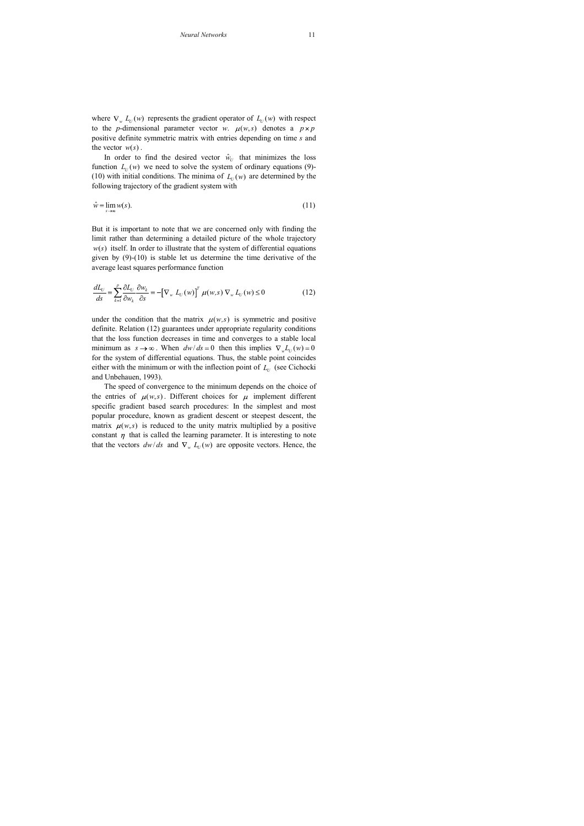where  $\nabla_w L_U(w)$  represents the gradient operator of  $L_U(w)$  with respect to the *p*-dimensional parameter vector *w*.  $\mu(w, s)$  denotes a  $p \times p$ positive definite symmetric matrix with entries depending on time *s* and the vector  $w(s)$ .

In order to find the desired vector  $\hat{w}_U$  that minimizes the loss function  $L_U(w)$  we need to solve the system of ordinary equations (9)-(10) with initial conditions. The minima of  $L<sub>U</sub>(w)$  are determined by the following trajectory of the gradient system with

$$
\hat{w} = \lim_{s \to \infty} w(s). \tag{11}
$$

But it is important to note that we are concerned only with finding the limit rather than determining a detailed picture of the whole trajectory  $w(s)$  itself. In order to illustrate that the system of differential equations given by (9)-(10) is stable let us determine the time derivative of the average least squares performance function

$$
\frac{dL_U}{ds} = \sum_{k=1}^{p} \frac{\partial L_U}{\partial w_k} \frac{\partial w_k}{\partial s} = -\left[\nabla_w L_U(w)\right]^T \mu(w, s) \nabla_w L_U(w) \le 0 \tag{12}
$$

under the condition that the matrix  $\mu(w,s)$  is symmetric and positive definite. Relation (12) guarantees under appropriate regularity conditions that the loss function decreases in time and converges to a stable local minimum as  $s \to \infty$ . When  $dw/ds = 0$  then this implies  $\nabla_w L_U(w) = 0$ for the system of differential equations. Thus, the stable point coincides either with the minimum or with the inflection point of  $L_U$  (see Cichocki and Unbehauen, 1993).

The speed of convergence to the minimum depends on the choice of the entries of  $\mu(w, s)$ . Different choices for  $\mu$  implement different specific gradient based search procedures: In the simplest and most popular procedure, known as gradient descent or steepest descent, the matrix  $\mu(w, s)$  is reduced to the unity matrix multiplied by a positive constant  $\eta$  that is called the learning parameter. It is interesting to note that the vectors  $dw/ds$  and  $\nabla_w L_U(w)$  are opposite vectors. Hence, the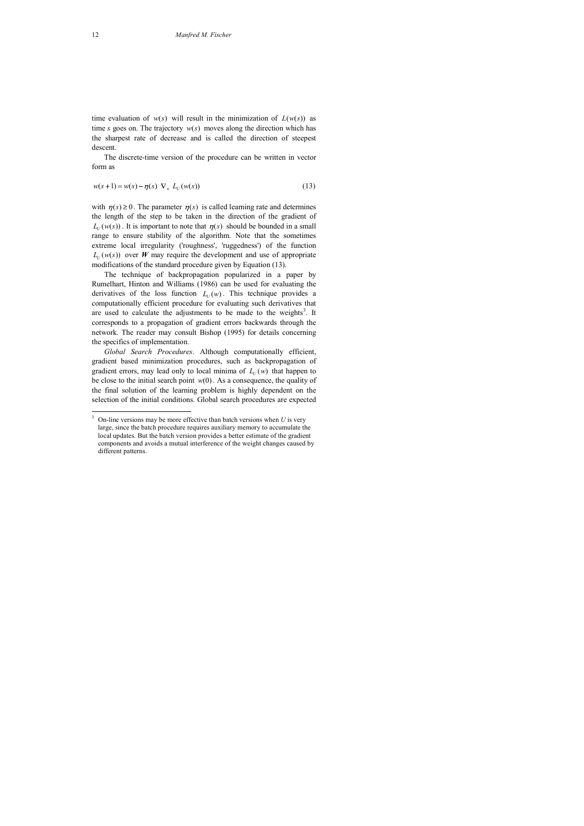time evaluation of  $w(s)$  will result in the minimization of  $L(w(s))$  as time *s* goes on. The trajectory  $w(s)$  moves along the direction which has the sharpest rate of decrease and is called the direction of steepest descent.

The discrete-time version of the procedure can be written in vector form as

$$
w(s+1) = w(s) - \eta(s) \ \nabla_w \ L_U(w(s)) \tag{13}
$$

with  $\eta(s) \ge 0$ . The parameter  $\eta(s)$  is called learning rate and determines the length of the step to be taken in the direction of the gradient of  $L_{U}(w(s))$ . It is important to note that  $\eta(s)$  should be bounded in a small range to ensure stability of the algorithm. Note that the sometimes extreme local irregularity ('roughness', 'ruggedness') of the function  $L_{U}(w(s))$  over *W* may require the development and use of appropriate modifications of the standard procedure given by Equation (13).

The technique of backpropagation popularized in a paper by Rumelhart, Hinton and Williams (1986) can be used for evaluating the derivatives of the loss function  $L_U(w)$ . This technique provides a computationally efficient procedure for evaluating such derivatives that are used to calculate the adjustments to be made to the weights<sup>3</sup>. It corresponds to a propagation of gradient errors backwards through the network. The reader may consult Bishop (1995) for details concerning the specifics of implementation.

*Global Search Procedures*. Although computationally efficient, gradient based minimization procedures, such as backpropagation of gradient errors, may lead only to local minima of  $L_U(w)$  that happen to be close to the initial search point  $w(0)$ . As a consequence, the quality of the final solution of the learning problem is highly dependent on the selection of the initial conditions. Global search procedures are expected

<sup>3</sup> On-line versions may be more effective than batch versions when *U* is very large, since the batch procedure requires auxiliary memory to accumulate the local updates. But the batch version provides a better estimate of the gradient components and avoids a mutual interference of the weight changes caused by different patterns.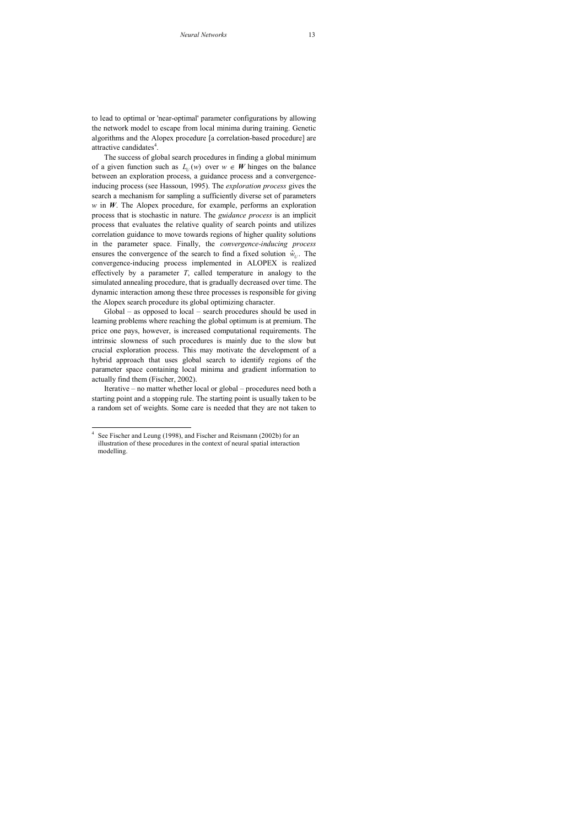to lead to optimal or 'near-optimal' parameter configurations by allowing the network model to escape from local minima during training. Genetic algorithms and the Alopex procedure [a correlation-based procedure] are attractive candidates 4 .

The success of global search procedures in finding a global minimum of a given function such as  $L_U(w)$  over  $w \in W$  hinges on the balance between an exploration process, a guidance process and a convergenceinducing process (see Hassoun, 1995). The *exploration process* gives the search a mechanism for sampling a sufficiently diverse set of parameters *w* in *W*. The Alopex procedure, for example, performs an exploration process that is stochastic in nature. The *guidance process* is an implicit process that evaluates the relative quality of search points and utilizes correlation guidance to move towards regions of higher quality solutions in the parameter space. Finally, the *convergence-inducing process* ensures the convergence of the search to find a fixed solution  $\hat{w}_{U}$ . The convergence-inducing process implemented in ALOPEX is realized effectively by a parameter *T*, called temperature in analogy to the simulated annealing procedure, that is gradually decreased over time. The dynamic interaction among these three processes is responsible for giving the Alopex search procedure its global optimizing character.

Global – as opposed to local – search procedures should be used in learning problems where reaching the global optimum is at premium. The price one pays, however, is increased computational requirements. The intrinsic slowness of such procedures is mainly due to the slow but crucial exploration process. This may motivate the development of a hybrid approach that uses global search to identify regions of the parameter space containing local minima and gradient information to actually find them (Fischer, 2002).

Iterative – no matter whether local or global – procedures need both a starting point and a stopping rule. The starting point is usually taken to be a random set of weights. Some care is needed that they are not taken to

See Fischer and Leung (1998), and Fischer and Reismann (2002b) for an illustration of these procedures in the context of neural spatial interaction modelling.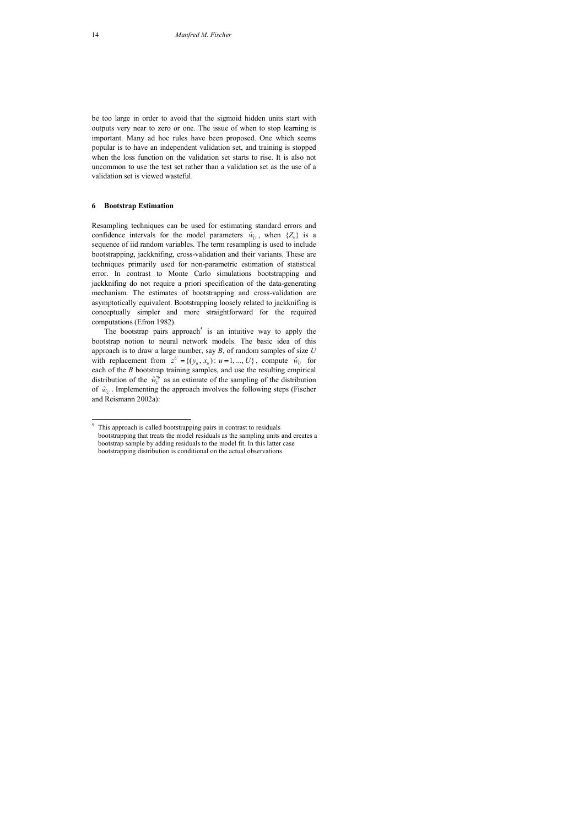be too large in order to avoid that the sigmoid hidden units start with outputs very near to zero or one. The issue of when to stop learning is important. Many ad hoc rules have been proposed. One which seems popular is to have an independent validation set, and training is stopped when the loss function on the validation set starts to rise. It is also not uncommon to use the test set rather than a validation set as the use of a validation set is viewed wasteful.

### **6 Bootstrap Estimation**

Resampling techniques can be used for estimating standard errors and confidence intervals for the model parameters  $\hat{w}_U$ , when  $\{Z_u\}$  is a sequence of iid random variables. The term resampling is used to include bootstrapping, jackknifing, cross-validation and their variants. These are techniques primarily used for non-parametric estimation of statistical error. In contrast to Monte Carlo simulations bootstrapping and jackknifing do not require a priori specification of the data-generating mechanism. The estimates of bootstrapping and cross-validation are asymptotically equivalent. Bootstrapping loosely related to jackknifing is conceptually simpler and more straightforward for the required computations (Efron 1982).

The bootstrap pairs approach<sup>5</sup> is an intuitive way to apply the bootstrap notion to neural network models. The basic idea of this approach is to draw a large number, say *B*, of random samples of size *U* with replacement from  $z^U = \{(y_u, x_u) : u = 1, ..., U\}$ , compute  $\hat{w}_U$  for each of the *B* bootstrap training samples, and use the resulting empirical distribution of the  $\hat{w}^{*b}_{U}$  as an estimate of the sampling of the distribution of  $\hat{w}_U$ . Implementing the approach involves the following steps (Fischer and Reismann 2002a):

<sup>&</sup>lt;sup>5</sup> This approach is called bootstrapping pairs in contrast to residuals bootstrapping that treats the model residuals as the sampling units and creates a bootstrap sample by adding residuals to the model fit. In this latter case bootstrapping distribution is conditional on the actual observations.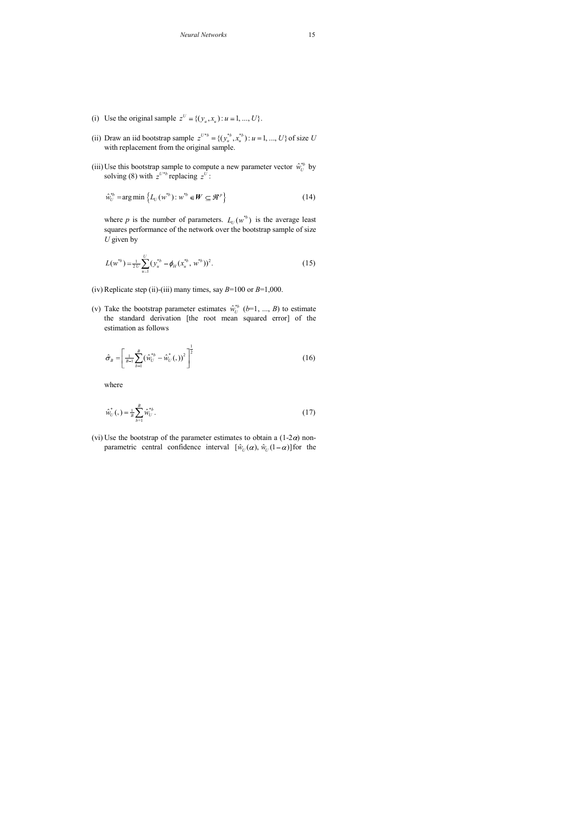- (i) Use the original sample  $z^U = \{(y_u, x_u) : u = 1, ..., U\}.$
- (ii) Draw an iid bootstrap sample  $z^{U^*b} = \{(y_u^{*b}, x_u^{*b}) : u = 1, ..., U\}$  of size U with replacement from the original sample.
- (iii) Use this bootstrap sample to compute a new parameter vector  $\hat{w}^*$  by solving (8) with  $z^{U^*b}$  replacing  $z^U$ :

$$
\hat{w}^{*b}_{U} = \arg\min \left\{ L_{U}(w^{*b}) : w^{*b} \in W \subseteq \mathcal{H}^{p} \right\}
$$
\n(14)

where *p* is the number of parameters.  $L_U(w^{*b})$  is the average least squares performance of the network over the bootstrap sample of size *U* given by

$$
L(w^{*b}) = \frac{1}{2U} \sum_{u=1}^{U} (y_u^{*b} - \phi_H(x_u^{*b}, w^{*b}))^2.
$$
 (15)

- (iv) Replicate step (ii)-(iii) many times, say  $B=100$  or  $B=1,000$ .
- (v) Take the bootstrap parameter estimates  $\hat{w}_U^*$  (*b*=1, ..., *B*) to estimate the standard derivation [the root mean squared error] of the estimation as follows

$$
\hat{\sigma}_B = \left[\frac{1}{B-1} \sum_{b=1}^B (\hat{w}_U^{*b} - \hat{w}_U^*(\omega))^2\right]^{\frac{1}{2}}
$$
(16)

where

$$
\hat{w}_U^*(\cdot) = \frac{1}{B} \sum_{b=1}^B \hat{w}_U^{*b}.
$$
\n(17)

(vi) Use the bootstrap of the parameter estimates to obtain a  $(1-2\alpha)$  nonparametric central confidence interval  $[\hat{w}_U(\alpha), \hat{w}_U(1-\alpha)]$  for the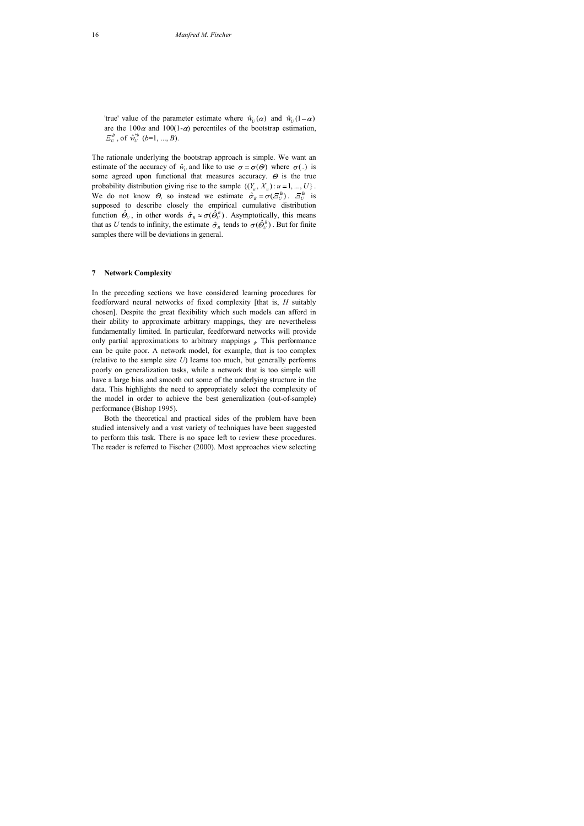'true' value of the parameter estimate where  $\hat{w}_{U}(\alpha)$  and  $\hat{w}_{U}(1-\alpha)$ are the  $100\alpha$  and  $100(1-\alpha)$  percentiles of the bootstrap estimation,  $\hat{w}_U^B$ , of  $\hat{w}_U^{*b}$  (*b*=1, ..., *B*).

The rationale underlying the bootstrap approach is simple. We want an estimate of the accuracy of  $\hat{w}_U$  and like to use  $\sigma = \sigma(\Theta)$  where  $\sigma(.)$  is some agreed upon functional that measures accuracy.  $\Theta$  is the true probability distribution giving rise to the sample  $\{(Y_u, X_u) : u = 1, ..., U\}$ . We do not know  $\Theta$ , so instead we estimate  $\hat{\sigma}_B = \sigma(\Xi_U^B)$ .  $\Xi_U^B$  is supposed to describe closely the empirical cumulative distribution function  $\hat{\Theta}_U$ , in other words  $\hat{\sigma}_B \approx \sigma(\hat{\Theta}_U^B)$ . Asymptotically, this means that as *U* tends to infinity, the estimate  $\hat{\sigma}_B$  tends to  $\sigma(\hat{\Theta}_U^B)$ . But for finite samples there will be deviations in general.

### **7 Network Complexity**

In the preceding sections we have considered learning procedures for feedforward neural networks of fixed complexity [that is, *H* suitably chosen]. Despite the great flexibility which such models can afford in their ability to approximate arbitrary mappings, they are nevertheless fundamentally limited. In particular, feedforward networks will provide only partial approximations to arbitrary mappings  $\epsilon$ . This performance can be quite poor. A network model, for example, that is too complex (relative to the sample size *U*) learns too much, but generally performs poorly on generalization tasks, while a network that is too simple will have a large bias and smooth out some of the underlying structure in the data. This highlights the need to appropriately select the complexity of the model in order to achieve the best generalization (out-of-sample) performance (Bishop 1995).

Both the theoretical and practical sides of the problem have been studied intensively and a vast variety of techniques have been suggested to perform this task. There is no space left to review these procedures. The reader is referred to Fischer (2000). Most approaches view selecting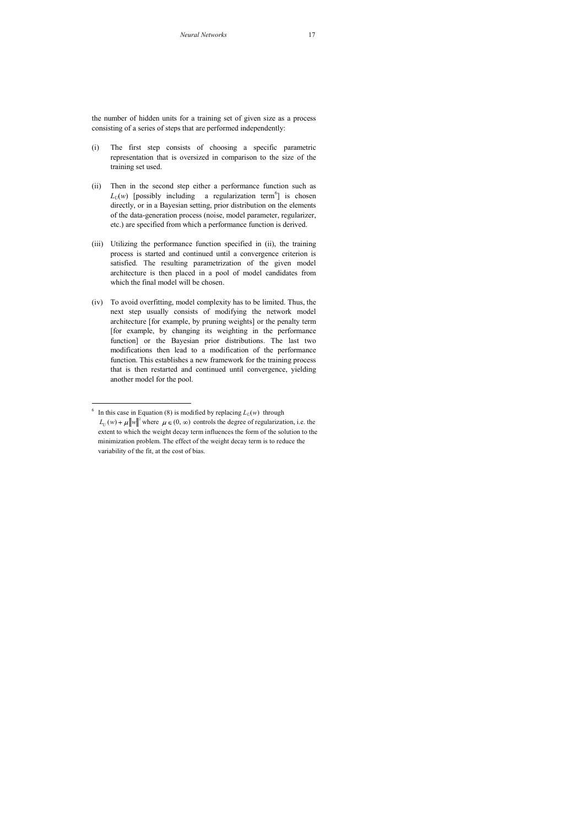the number of hidden units for a training set of given size as a process consisting of a series of steps that are performed independently:

- (i) The first step consists of choosing a specific parametric representation that is oversized in comparison to the size of the training set used.
- (ii) Then in the second step either a performance function such as  $L_U(w)$  [possibly including a regularization term<sup>6</sup>] is chosen directly, or in a Bayesian setting, prior distribution on the elements of the data-generation process (noise, model parameter, regularizer, etc.) are specified from which a performance function is derived.
- (iii) Utilizing the performance function specified in (ii), the training process is started and continued until a convergence criterion is satisfied. The resulting parametrization of the given model architecture is then placed in a pool of model candidates from which the final model will be chosen.
- (iv) To avoid overfitting, model complexity has to be limited. Thus, the next step usually consists of modifying the network model architecture [for example, by pruning weights] or the penalty term [for example, by changing its weighting in the performance function] or the Bayesian prior distributions. The last two modifications then lead to a modification of the performance function. This establishes a new framework for the training process that is then restarted and continued until convergence, yielding another model for the pool.

<sup>&</sup>lt;sup>6</sup> In this case in Equation (8) is modified by replacing  $L_U(w)$  through  $L_U(w) + \mu ||w||^2$  where  $\mu \in (0, \infty)$  controls the degree of regularization, i.e. the extent to which the weight decay term influences the form of the solution to the minimization problem. The effect of the weight decay term is to reduce the variability of the fit, at the cost of bias.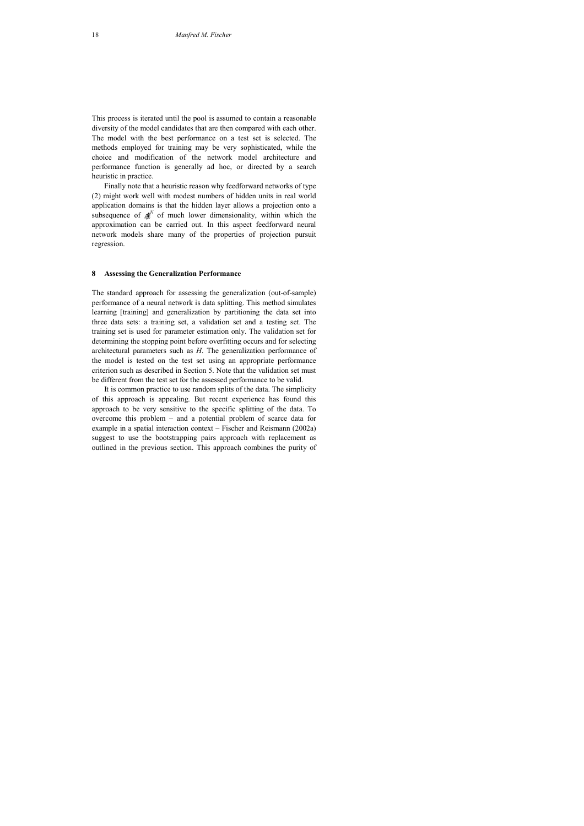This process is iterated until the pool is assumed to contain a reasonable diversity of the model candidates that are then compared with each other. The model with the best performance on a test set is selected. The methods employed for training may be very sophisticated, while the choice and modification of the network model architecture and performance function is generally ad hoc, or directed by a search heuristic in practice.

Finally note that a heuristic reason why feedforward networks of type (2) might work well with modest numbers of hidden units in real world application domains is that the hidden layer allows a projection onto a subsequence of  $\mathcal{R}^N$  of much lower dimensionality, within which the approximation can be carried out. In this aspect feedforward neural network models share many of the properties of projection pursuit regression.

### **8 Assessing the Generalization Performance**

The standard approach for assessing the generalization (out-of-sample) performance of a neural network is data splitting. This method simulates learning [training] and generalization by partitioning the data set into three data sets: a training set, a validation set and a testing set. The training set is used for parameter estimation only. The validation set for determining the stopping point before overfitting occurs and for selecting architectural parameters such as *H*. The generalization performance of the model is tested on the test set using an appropriate performance criterion such as described in Section 5. Note that the validation set must be different from the test set for the assessed performance to be valid.

It is common practice to use random splits of the data. The simplicity of this approach is appealing. But recent experience has found this approach to be very sensitive to the specific splitting of the data. To overcome this problem – and a potential problem of scarce data for example in a spatial interaction context – Fischer and Reismann (2002a) suggest to use the bootstrapping pairs approach with replacement as outlined in the previous section. This approach combines the purity of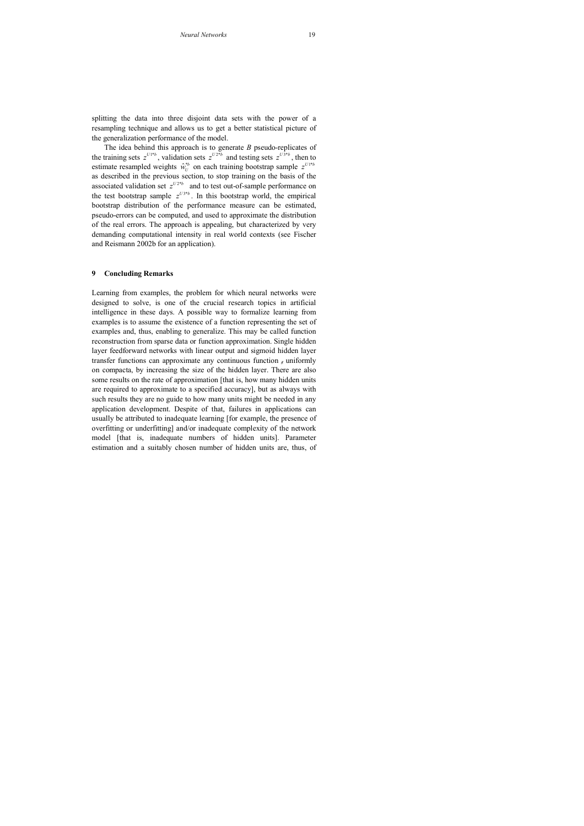splitting the data into three disjoint data sets with the power of a resampling technique and allows us to get a better statistical picture of the generalization performance of the model.

The idea behind this approach is to generate *B* pseudo-replicates of the training sets  $z^{U^{1*}b}$ , validation sets  $z^{U^{2*}b}$  and testing sets  $z^{U^{3*}b}$ , then to estimate resampled weights  $\hat{w}_U^*$  on each training bootstrap sample  $z^{U^{1*}b}$ as described in the previous section, to stop training on the basis of the associated validation set  $z^{U2*b}$  and to test out-of-sample performance on the test bootstrap sample  $z^{U_3 * b}$ . In this bootstrap world, the empirical bootstrap distribution of the performance measure can be estimated, pseudo-errors can be computed, and used to approximate the distribution of the real errors. The approach is appealing, but characterized by very demanding computational intensity in real world contexts (see Fischer and Reismann 2002b for an application).

### **9 Concluding Remarks**

Learning from examples, the problem for which neural networks were designed to solve, is one of the crucial research topics in artificial intelligence in these days. A possible way to formalize learning from examples is to assume the existence of a function representing the set of examples and, thus, enabling to generalize. This may be called function reconstruction from sparse data or function approximation. Single hidden layer feedforward networks with linear output and sigmoid hidden layer transfer functions can approximate any continuous function  $\frac{1}{2}$  uniformly on compacta, by increasing the size of the hidden layer. There are also some results on the rate of approximation [that is, how many hidden units are required to approximate to a specified accuracy], but as always with such results they are no guide to how many units might be needed in any application development. Despite of that, failures in applications can usually be attributed to inadequate learning [for example, the presence of overfitting or underfitting] and/or inadequate complexity of the network model [that is, inadequate numbers of hidden units]. Parameter estimation and a suitably chosen number of hidden units are, thus, of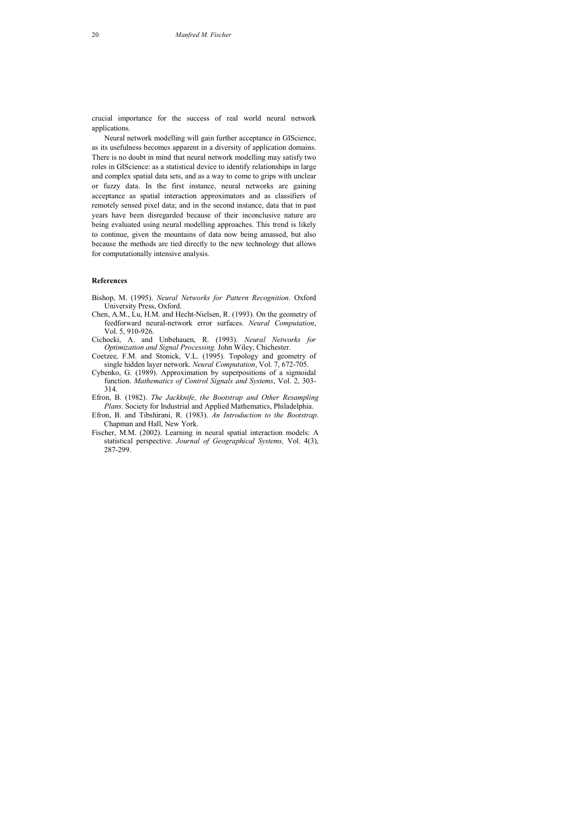crucial importance for the success of real world neural network applications.

Neural network modelling will gain further acceptance in GIScience, as its usefulness becomes apparent in a diversity of application domains. There is no doubt in mind that neural network modelling may satisfy two roles in GIScience: as a statistical device to identify relationships in large and complex spatial data sets, and as a way to come to grips with unclear or fuzzy data. In the first instance, neural networks are gaining acceptance as spatial interaction approximators and as classifiers of remotely sensed pixel data; and in the second instance, data that in past years have been disregarded because of their inconclusive nature are being evaluated using neural modelling approaches. This trend is likely to continue, given the mountains of data now being amassed, but also because the methods are tied directly to the new technology that allows for computationally intensive analysis.

### **References**

- Bishop, M. (1995). *Neural Networks for Pattern Recognition*. Oxford University Press, Oxford.
- Chen, A.M., Lu, H.M. and Hecht-Nielsen, R. (1993). On the geometry of feedforward neural-network error surfaces. *Neural Computation*, Vol. 5, 910-926.
- Cichocki, A. and Unbehauen, R. (1993). *Neural Networks for Optimization and Signal Processing.* John Wiley, Chichester.
- Coetzee, F.M. and Stonick, V.L. (1995). Topology and geometry of single hidden layer network. *Neural Computation*, Vol. 7, 672-705.
- Cybenko, G. (1989). Approximation by superpositions of a sigmoidal function. *Mathematics of Control Signals and Systems*, Vol. 2, 303- 314.
- Efron, B. (1982). *The Jackknife, the Bootstrap and Other Resampling Plans*. Society for Industrial and Applied Mathematics, Philadelphia.
- Efron, B. and Tibshirani, R. (1983). *An Introduction to the Bootstrap*. Chapman and Hall, New York.
- Fischer, M.M. (2002). Learning in neural spatial interaction models: A statistical perspective. *Journal of Geographical Systems,* Vol. 4(3), 287-299.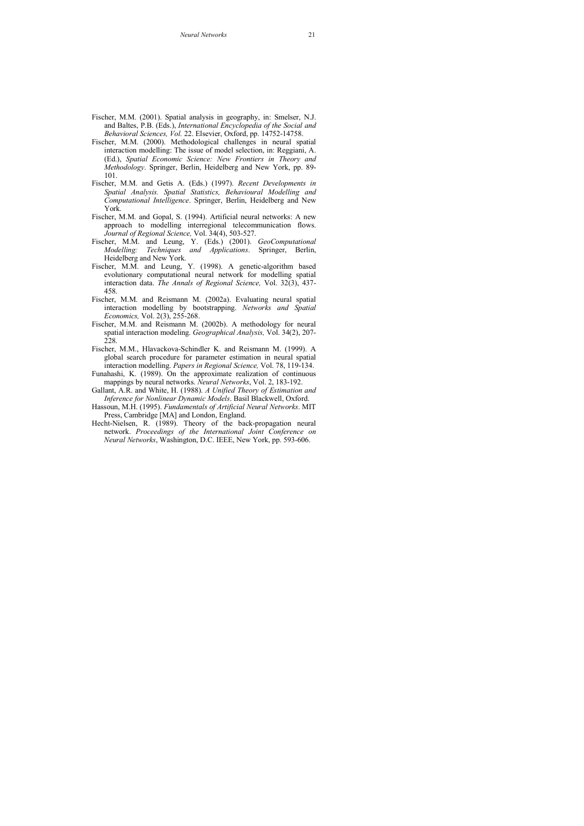- Fischer, M.M. (2001). Spatial analysis in geography, in: Smelser, N.J. and Baltes, P.B. (Eds.), *International Encyclopedia of the Social and Behavioral Sciences, Vol.* 22. Elsevier, Oxford, pp. 14752-14758.
- Fischer, M.M. (2000). Methodological challenges in neural spatial interaction modelling: The issue of model selection, in: Reggiani, A. (Ed.), *Spatial Economic Science: New Frontiers in Theory and Methodology*. Springer, Berlin, Heidelberg and New York, pp. 89- 101.
- Fischer, M.M. and Getis A. (Eds.) (1997). *Recent Developments in Spatial Analysis. Spatial Statistics, Behavioural Modelling and Computational Intelligence*. Springer, Berlin, Heidelberg and New York.
- Fischer, M.M. and Gopal, S. (1994). Artificial neural networks: A new approach to modelling interregional telecommunication flows. *Journal of Regional Science,* Vol. 34(4), 503-527.
- Fischer, M.M. and Leung, Y. (Eds.) (2001). *GeoComputational Modelling: Techniques and Applications*. Springer, Berlin, Heidelberg and New York.
- Fischer, M.M. and Leung, Y. (1998). A genetic-algorithm based evolutionary computational neural network for modelling spatial interaction data. *The Annals of Regional Science,* Vol. 32(3), 437- 458.
- Fischer, M.M. and Reismann M. (2002a). Evaluating neural spatial interaction modelling by bootstrapping. *Networks and Spatial Economics,* Vol. 2(3), 255-268.
- Fischer, M.M. and Reismann M. (2002b). A methodology for neural spatial interaction modeling. *Geographical Analysis,* Vol. 34(2), 207- 228.
- Fischer, M.M., Hlavackova-Schindler K. and Reismann M. (1999). A global search procedure for parameter estimation in neural spatial interaction modelling. *Papers in Regional Science,* Vol. 78, 119-134.
- Funahashi, K. (1989). On the approximate realization of continuous mappings by neural networks. *Neural Networks*, Vol. 2, 183-192.
- Gallant, A.R. and White, H. (1988). *A Unified Theory of Estimation and Inference for Nonlinear Dynamic Models*. Basil Blackwell, Oxford.
- Hassoun, M.H. (1995). *Fundamentals of Artificial Neural Networks*. MIT Press, Cambridge [MA] and London, England.
- Hecht-Nielsen, R. (1989). Theory of the back-propagation neural network. *Proceedings of the International Joint Conference on Neural Networks*, Washington, D.C. IEEE, New York, pp. 593-606.